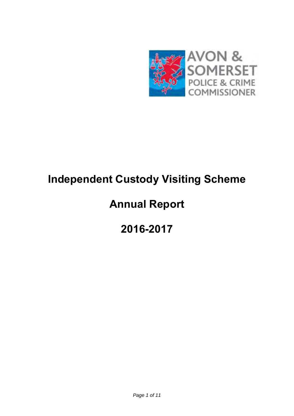

# **Independent Custody Visiting Scheme**

# **Annual Report**

**2016-2017**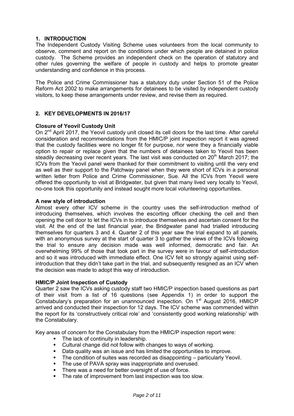# **1. INTRODUCTION**

The Independent Custody Visiting Scheme uses volunteers from the local community to observe, comment and report on the conditions under which people are detained in police custody. The Scheme provides an independent check on the operation of statutory and other rules governing the welfare of people in custody and helps to promote greater understanding and confidence in this process.

The Police and Crime Commissioner has a statutory duty under Section 51 of the Police Reform Act 2002 to make arrangements for detainees to be visited by independent custody visitors, to keep these arrangements under review, and revise them as required.

# **2. KEY DEVELOPMENTS IN 2016/17**

### **Closure of Yeovil Custody Unit**

On 2<sup>nd</sup> April 2017, the Yeovil custody unit closed its cell doors for the last time. After careful consideration and recommendations from the HMIC/P joint inspection report it was agreed that the custody facilities were no longer fit for purpose, nor were they a financially viable option to repair or replace given that the numbers of detainees taken to Yeovil has been steadily decreasing over recent years. The last visit was conducted on 20<sup>th</sup> March 2017; the ICVs from the Yeovil panel were thanked for their commitment to visiting until the very end as well as their support to the Patchway panel when they were short of ICVs in a personal written letter from Police and Crime Commissioner, Sue. All the ICVs from Yeovil were offered the opportunity to visit at Bridgwater, but given that many lived very locally to Yeovil, no-one took this opportunity and instead sought more local volunteering opportunities.

### **A new style of introduction**

Almost every other ICV scheme in the country uses the self-introduction method of introducing themselves, which involves the escorting officer checking the cell and then opening the cell door to let the ICVs in to introduce themselves and ascertain consent for the visit. At the end of the last financial year, the Bridgwater panel had trialled introducing themselves for quarters 3 and 4. Quarter 2 of this year saw the trial expand to all panels, with an anonymous survey at the start of quarter 3 to gather the views of the ICVs following the trial to ensure any decision made was well informed, democratic and fair. An overwhelming 99% of those that took part in the survey were in favour of self-introduction and so it was introduced with immediate effect. One ICV felt so strongly against using selfintroduction that they didn't take part in the trial, and subsequently resigned as an ICV when the decision was made to adopt this way of introduction.

### **HMIC/P Joint Inspection of Custody**

Quarter 2 saw the ICVs asking custody staff two HMIC/P inspection based questions as part of their visit from a list of 16 questions (see Appendix 1) in order to support the Constabulary's preparation for an unannounced inspection. On 1<sup>st</sup> August 2016, HMIC/P arrived and conducted their inspection for 12 days. The ICV scheme was commended within the report for its 'constructively critical role' and 'consistently good working relationship' with the Constabulary.

Key areas of concern for the Constabulary from the HMIC/P inspection report were:

- The lack of continuity in leadership.<br>■ Cultural change did not follow with o
- Cultural change did not follow with changes to ways of working.
- Data quality was an issue and has limited the opportunities to improve.
- The condition of suites was recorded as disappointing particularly Yeovil.
- The use of PAVA spray was inappropriate and overused.
- There was a need for better oversight of use of force.
- The rate of improvement from last inspection was too slow.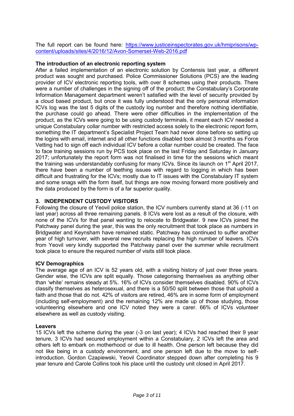The full report can be found here: [https://www.justiceinspectorates.gov.uk/hmiprisons/wp](https://www.justiceinspectorates.gov.uk/hmiprisons/wp-content/uploads/sites/4/2016/12/Avon-Somerset-Web-2016.pdf)[content/uploads/sites/4/2016/12/Avon-Somerset-Web-2016.pdf](https://www.justiceinspectorates.gov.uk/hmiprisons/wp-content/uploads/sites/4/2016/12/Avon-Somerset-Web-2016.pdf) 

#### **The introduction of an electronic reporting system**

After a failed implementation of an electronic solution by Contensis last year, a different product was sought and purchased. Police Commissioner Solutions (PCS) are the leading provider of ICV electronic reporting tools, with over 8 schemes using their products. There were a number of challenges in the signing off of the product; the Constabulary's Corporate Information Management department weren't satisfied with the level of security provided by a cloud based product, but once it was fully understood that the only personal information ICVs log was the last 5 digits of the custody log number and therefore nothing identifiable, the purchase could go ahead. There were other difficulties in the implementation of the product, as the ICVs were going to be using custody terminals, it meant each ICV needed a unique Constabulary collar number with restricted access solely to the electronic report form, something the IT department's Specialist Project Team had never done before so setting up the logins with email, internet and all other functions disabled took almost 3 months as Force Vetting had to sign off each individual ICV before a collar number could be created. The face to face training sessions run by PCS took place on the last Friday and Saturday in January 2017; unfortunately the report form was not finalised in time for the sessions which meant the training was understandably confusing for many ICVs. Since its launch on 1<sup>st</sup> April 2017, there have been a number of teething issues with regard to logging in which has been difficult and frustrating for the ICVs; mostly due to IT issues with the Constabulary IT system and some snags with the form itself, but things are now moving forward more positively and the data produced by the form is of a far superior quality.

### **3. INDEPENDENT CUSTODY VISITORS**

Following the closure of Yeovil police station, the ICV numbers currently stand at 36 (-11 on last year) across all three remaining panels. 8 ICVs were lost as a result of the closure, with none of the ICVs for that panel wanting to relocate to Bridgwater. 9 new ICVs joined the Patchway panel during the year, this was the only recruitment that took place as numbers in Bridgwater and Keynsham have remained static. Patchway has continued to suffer another year of high turnover, with several new recruits replacing the high number of leavers. ICVs from Yeovil very kindly supported the Patchway panel over the summer while recruitment took place to ensure the required number of visits still took place.

### **ICV Demographics**

The average age of an ICV is 52 years old, with a visiting history of just over three years. Gender wise, the ICVs are split equally. Those categorising themselves as anything other than 'white' remains steady at 5%. 16% of ICVs consider themselves disabled. 90% of ICVs classify themselves as heterosexual, and there is a 50/50 split between those that uphold a faith and those that do not. 42% of visitors are retired, 46% are in some form of employment (including self-employment) and the remaining 12% are made up of those studying, those volunteering elsewhere and one ICV noted they were a carer. 66% of ICVs volunteer elsewhere as well as custody visiting.

#### **Leavers**

15 ICVs left the scheme during the year (-3 on last year); 4 ICVs had reached their 9 year tenure, 3 ICVs had secured employment within a Constabulary, 2 ICVs left the area and others left to embark on motherhood or due to ill health. One person left because they did not like being in a custody environment, and one person left due to the move to selfintroduction. Gordon Czapiewski, Yeovil Coordinator stepped down after completing his 9 year tenure and Carole Collins took his place until the custody unit closed in April 2017.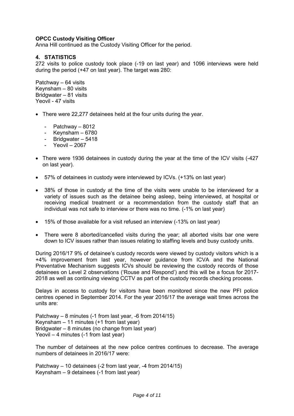# **OPCC Custody Visiting Officer**

Anna Hill continued as the Custody Visiting Officer for the period.

## **4. STATISTICS**

272 visits to police custody took place (-19 on last year) and 1096 interviews were held during the period (+47 on last year). The target was 280:

Patchway – 64 visits Keynsham – 80 visits Bridgwater – 81 visits Yeovil - 47 visits

- There were 22,277 detainees held at the four units during the year.
	- Patchway 8012
	- Keynsham 6780
	- Bridgwater 5418
	- Yeovil 2067
- There were 1936 detainees in custody during the year at the time of the ICV visits (-427) on last year).
- 57% of detainees in custody were interviewed by ICVs. (+13% on last year)
- 38% of those in custody at the time of the visits were unable to be interviewed for a variety of issues such as the detainee being asleep, being interviewed, at hospital or receiving medical treatment or a recommendation from the custody staff that an individual was not safe to interview or there was no time. (-1% on last year)
- 15% of those available for a visit refused an interview (-13% on last year)
- There were 8 aborted/cancelled visits during the year; all aborted visits bar one were down to ICV issues rather than issues relating to staffing levels and busy custody units.

During 2016/17 9% of detainee's custody records were viewed by custody visitors which is a +4% improvement from last year, however guidance from ICVA and the National Preventative Mechanism suggests ICVs should be reviewing the custody records of those detainees on Level 2 observations ('Rouse and Respond') and this will be a focus for 2017- 2018 as well as continuing viewing CCTV as part of the custody records checking process.

Delays in access to custody for visitors have been monitored since the new PFI police centres opened in September 2014. For the year 2016/17 the average wait times across the units are:

Patchway – 8 minutes (-1 from last year, -6 from 2014/15) Keynsham – 11 minutes (+1 from last year) Bridgwater – 8 minutes (no change from last year) Yeovil – 4 minutes (-1 from last year)

The number of detainees at the new police centres continues to decrease. The average numbers of detainees in 2016/17 were:

Patchway – 10 detainees (-2 from last year, -4 from 2014/15) Keynsham – 9 detainees (-1 from last year)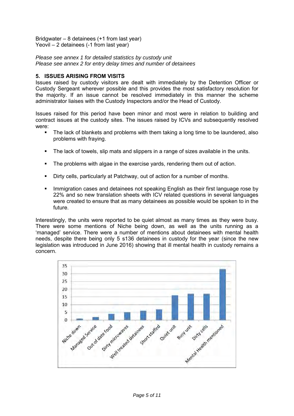Bridgwater – 8 detainees (+1 from last year) Yeovil – 2 detainees (-1 from last year)

*Please see annex 1 for detailed statistics by custody unit Please see annex 2 for entry delay times and number of detainees* 

### **5. ISSUES ARISING FROM VISITS**

Issues raised by custody visitors are dealt with immediately by the Detention Officer or Custody Sergeant wherever possible and this provides the most satisfactory resolution for the majority. If an issue cannot be resolved immediately in this manner the scheme administrator liaises with the Custody Inspectors and/or the Head of Custody.

Issues raised for this period have been minor and most were in relation to building and contract issues at the custody sites. The issues raised by ICVs and subsequently resolved were:

- The lack of blankets and problems with them taking a long time to be laundered, also problems with fraying.
- The lack of towels, slip mats and slippers in a range of sizes available in the units.
- The problems with algae in the exercise yards, rendering them out of action.
- Dirty cells, particularly at Patchway, out of action for a number of months.
- Immigration cases and detainees not speaking English as their first language rose by 22% and so new translation sheets with ICV related questions in several languages were created to ensure that as many detainees as possible would be spoken to in the future.

Interestingly, the units were reported to be quiet almost as many times as they were busy. There were some mentions of Niche being down, as well as the units running as a 'managed' service. There were a number of mentions about detainees with mental health needs, despite there being only 5 s136 detainees in custody for the year (since the new legislation was introduced in June 2016) showing that ill mental health in custody remains a concern.

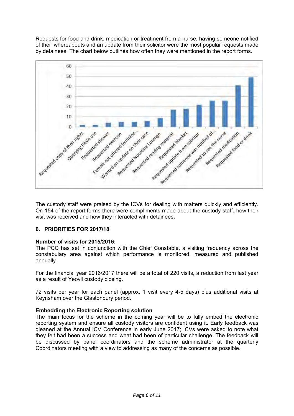Requests for food and drink, medication or treatment from a nurse, having someone notified of their whereabouts and an update from their solicitor were the most popular requests made by detainees. The chart below outlines how often they were mentioned in the report forms.



The custody staff were praised by the ICVs for dealing with matters quickly and efficiently. On 154 of the report forms there were compliments made about the custody staff, how their visit was received and how they interacted with detainees.

### **6. PRIORITIES FOR 2017/18**

### **Number of visits for 2015/2016:**

The PCC has set in conjunction with the Chief Constable, a visiting frequency across the constabulary area against which performance is monitored, measured and published annually.

For the financial year 2016/2017 there will be a total of 220 visits, a reduction from last year as a result of Yeovil custody closing.

72 visits per year for each panel (approx. 1 visit every 4-5 days) plus additional visits at Keynsham over the Glastonbury period.

### **Embedding the Electronic Reporting solution**

The main focus for the scheme in the coming year will be to fully embed the electronic reporting system and ensure all custody visitors are confident using it. Early feedback was gleaned at the Annual ICV Conference in early June 2017; ICVs were asked to note what they felt had been a success and what had been of particular challenge. The feedback will be discussed by panel coordinators and the scheme administrator at the quarterly Coordinators meeting with a view to addressing as many of the concerns as possible.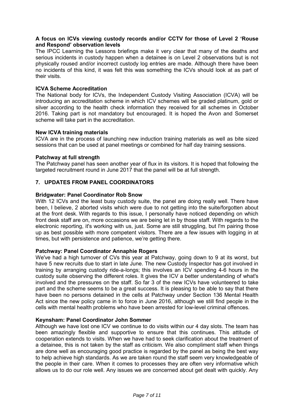### **A focus on ICVs viewing custody records and/or CCTV for those of Level 2 'Rouse and Respond' observation levels**

The IPCC Learning the Lessons briefings make it very clear that many of the deaths and serious incidents in custody happen when a detainee is on Level 2 observations but is not physically roused and/or incorrect custody log entries are made. Although there have been no incidents of this kind, it was felt this was something the ICVs should look at as part of their visits.

#### **ICVA Scheme Accreditation**

The National body for ICVs, the Independent Custody Visiting Association (ICVA) will be introducing an accreditation scheme in which ICV schemes will be graded platinum, gold or silver according to the health check information they received for all schemes in October 2016. Taking part is not mandatory but encouraged. It is hoped the Avon and Somerset scheme will take part in the accreditation.

#### **New ICVA training materials**

ICVA are in the process of launching new induction training materials as well as bite sized sessions that can be used at panel meetings or combined for half day training sessions.

#### **Patchway at full strength**

The Patchway panel has seen another year of flux in its visitors. It is hoped that following the targeted recruitment round in June 2017 that the panel will be at full strength.

## **7. UPDATES FROM PANEL COORDINATORS**

#### **Bridgwater: Panel Coordinator Rob Snow**

With 12 ICVs and the least busy custody suite, the panel are doing really well. There have been, I believe, 2 aborted visits which were due to not getting into the suite/forgotten about at the front desk. With regards to this issue, I personally have noticed depending on which front desk staff are on, more occasions we are being let in by those staff. With regards to the electronic reporting, it's working with us, just. Some are still struggling, but I'm pairing those up as best possible with more competent visitors. There are a few issues with logging in at times, but with persistence and patience, we're getting there.

#### **Patchway: Panel Coordinator Annaphie Rogers**

We've had a high turnover of CVs this year at Patchway, going down to 9 at its worst, but have 5 new recruits due to start in late June. The new Custody Inspector has got involved in training by arranging custody ride-a-longs; this involves an ICV spending 4-6 hours in the custody suite observing the different roles. It gives the ICV a better understanding of what's involved and the pressures on the staff. So far 3 of the new ICVs have volunteered to take part and the scheme seems to be a great success. It is pleasing to be able to say that there have been no persons detained in the cells at Patchway under Section 136 Mental Health Act since the new policy came in to force in June 2016, although we still find people in the cells with mental health problems who have been arrested for low-level criminal offences.

#### **Keynsham: Panel Coordinator John Sommer**

Although we have lost one ICV we continue to do visits within our 4 day slots. The team has been amazingly flexible and supportive to ensure that this continues. This attitude of cooperation extends to visits. When we have had to seek clarification about the treatment of a detainee, this is not taken by the staff as criticism. We also compliment staff when things are done well as encouraging good practice is regarded by the panel as being the best way to help achieve high standards. As we are taken round the staff seem very knowledgeable of the people in their care. When it comes to processes they are often very informative which allows us to do our role well. Any issues we are concerned about get dealt with quickly. Any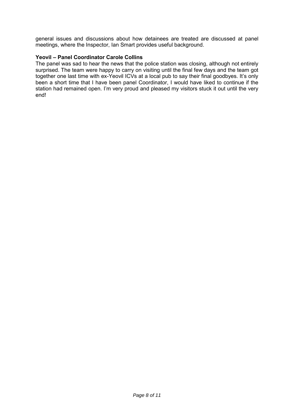general issues and discussions about how detainees are treated are discussed at panel meetings, where the Inspector, Ian Smart provides useful background.

### **Yeovil – Panel Coordinator Carole Collins**

The panel was sad to hear the news that the police station was closing, although not entirely surprised. The team were happy to carry on visiting until the final few days and the team got together one last time with ex-Yeovil ICVs at a local pub to say their final goodbyes. It's only been a short time that I have been panel Coordinator, I would have liked to continue if the station had remained open. I'm very proud and pleased my visitors stuck it out until the very end!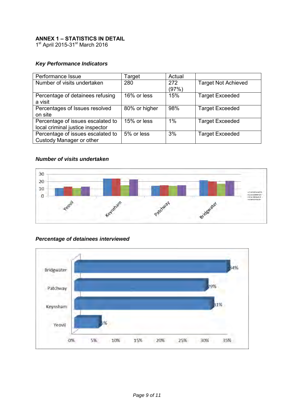# **ANNEX 1 – STATISTICS IN DETAIL**

1<sup>st</sup> April 2015-31<sup>st</sup> March 2016

# *Key Performance Indicators*

| Performance Issue                 | Target        | Actual |                            |
|-----------------------------------|---------------|--------|----------------------------|
| Number of visits undertaken       | 280           | 272    | <b>Target Not Achieved</b> |
|                                   |               | (97%)  |                            |
| Percentage of detainees refusing  | 16% or less   | 15%    | <b>Target Exceeded</b>     |
| a visit                           |               |        |                            |
| Percentages of Issues resolved    | 80% or higher | 98%    | <b>Target Exceeded</b>     |
| on site                           |               |        |                            |
| Percentage of issues escalated to | 15% or less   | 1%     | <b>Target Exceeded</b>     |
| local criminal justice inspector  |               |        |                            |
| Percentage of issues escalated to | 5% or less    | 3%     | <b>Target Exceeded</b>     |
| Custody Manager or other          |               |        |                            |

# *Number of visits undertaken*



# *Percentage of detainees interviewed*

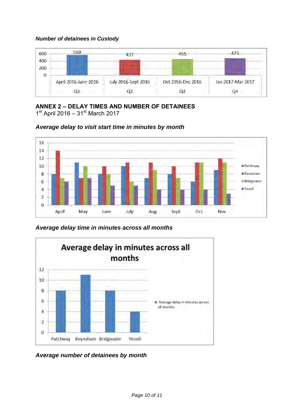*Number of detainees in Custody* 



**ANNEX 2 – DELAY TIMES AND NUMBER OF DETAINEES** 

1<sup>st</sup> April 2016 – 31<sup>st</sup> March 2017



*Average delay to visit start time in minutes by month* 

*Average delay time in minutes across all months* 



*Average number of detainees by month*